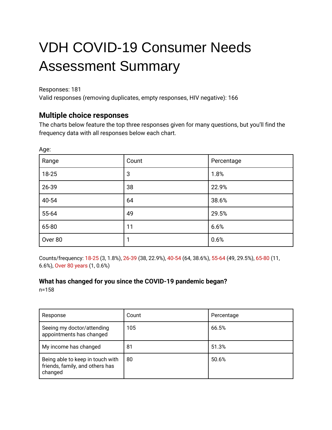# VDH COVID-19 Consumer Needs Assessment Summary

Responses: 181

Age:

Valid responses (removing duplicates, empty responses, HIV negative): 166

# **Multiple choice responses**

The charts below feature the top three responses given for many questions, but you'll find the frequency data with all responses below each chart.

| Range   | Count | Percentage |
|---------|-------|------------|
| 18-25   | 3     | 1.8%       |
| 26-39   | 38    | 22.9%      |
| 40-54   | 64    | 38.6%      |
| 55-64   | 49    | 29.5%      |
| 65-80   | 11    | 6.6%       |
| Over 80 |       | 0.6%       |

Counts/frequency: 18-25 (3, 1.8%), 26-39 (38, 22.9%), 40-54 (64, 38.6%), 55-64 (49, 29.5%), 65-80 (11, 6.6%), Over 80 years (1, 0.6%)

### **What has changed for you since the COVID-19 pandemic began?**

n=158

| Response                                                                       | Count | Percentage |
|--------------------------------------------------------------------------------|-------|------------|
| Seeing my doctor/attending<br>appointments has changed                         | 105   | 66.5%      |
| My income has changed                                                          | 81    | 51.3%      |
| Being able to keep in touch with<br>friends, family, and others has<br>changed | 80    | 50.6%      |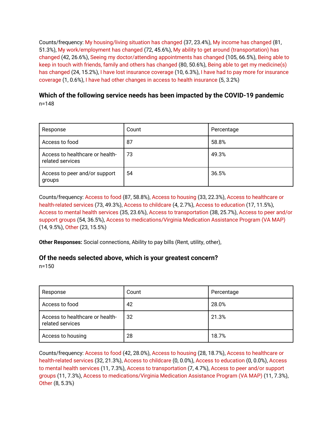Counts/frequency: My housing/living situation has changed (37, 23.4%), My income has changed (81, 51.3%), My work/employment has changed (72, 45.6%), My ability to get around (transportation) has changed (42, 26.6%), Seeing my doctor/attending appointments has changed (105, 66.5%), Being able to keep in touch with friends, family and others has changed (80, 50.6%), Being able to get my medicine(s) has changed (24, 15.2%), I have lost insurance coverage (10, 6.3%), I have had to pay more for insurance coverage (1, 0.6%), I have had other changes in access to health insurance (5, 3.2%)

### **Which of the following service needs has been impacted by the COVID-19 pandemic** n=148

| Response                                            | Count | Percentage |
|-----------------------------------------------------|-------|------------|
| Access to food                                      | 87    | 58.8%      |
| Access to healthcare or health-<br>related services | 73    | 49.3%      |
| Access to peer and/or support<br>groups             | 54    | 36.5%      |

Counts/frequency: Access to food (87, 58.8%), Access to housing (33, 22.3%), Access to healthcare or health-related services (73, 49.3%), Access to childcare (4, 2.7%), Access to education (17, 11.5%), Access to mental health services (35, 23.6%), Access to transportation (38, 25.7%), Access to peer and/or support groups (54, 36.5%), Access to medications/Virginia Medication Assistance Program (VA MAP) (14, 9.5%), Other (23, 15.5%)

**Other Responses:** Social connections, Ability to pay bills (Rent, utility, other),

#### **Of the needs selected above, which is your greatest concern?**

n=150

| Response                                            | Count | Percentage |
|-----------------------------------------------------|-------|------------|
| Access to food                                      | 42    | 28.0%      |
| Access to healthcare or health-<br>related services | 32    | 21.3%      |
| Access to housing                                   | 28    | 18.7%      |

Counts/frequency: Access to food (42, 28.0%), Access to housing (28, 18.7%), Access to healthcare or health-related services (32, 21.3%), Access to childcare (0, 0.0%), Access to education (0, 0.0%), Access to mental health services (11, 7.3%), Access to transportation (7, 4.7%), Access to peer and/or support groups (11, 7.3%), Access to medications/Virginia Medication Assistance Program (VA MAP) (11, 7.3%), Other (8, 5.3%)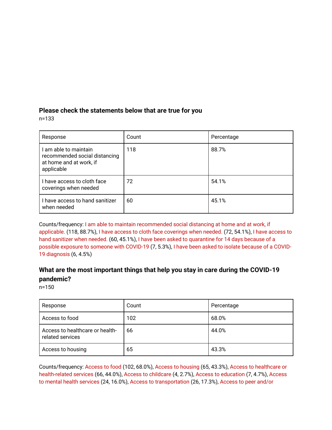### **Please check the statements below that are true for you**

n=133

| Response                                                                                        | Count | Percentage |
|-------------------------------------------------------------------------------------------------|-------|------------|
| I am able to maintain<br>recommended social distancing<br>at home and at work, if<br>applicable | 118   | 88.7%      |
| I have access to cloth face<br>coverings when needed                                            | 72    | 54.1%      |
| I have access to hand sanitizer<br>when needed                                                  | 60    | 45.1%      |

Counts/frequency: I am able to maintain recommended social distancing at home and at work, if applicable. (118, 88.7%), I have access to cloth face coverings when needed. (72, 54.1%), I have access to hand sanitizer when needed. (60, 45.1%), I have been asked to quarantine for 14 days because of a possible exposure to someone with COVID-19 (7, 5.3%), I have been asked to isolate because of a COVID-19 diagnosis (6, 4.5%)

# **What are the most important things that help you stay in care during the COVID-19 pandemic?**

n=150

| Response                                            | Count | Percentage |
|-----------------------------------------------------|-------|------------|
| Access to food                                      | 102   | 68.0%      |
| Access to healthcare or health-<br>related services | 66    | 44.0%      |
| Access to housing                                   | 65    | 43.3%      |

Counts/frequency: Access to food (102, 68.0%), Access to housing (65, 43.3%), Access to healthcare or health-related services (66, 44.0%), Access to childcare (4, 2.7%), Access to education (7, 4.7%), Access to mental health services (24, 16.0%), Access to transportation (26, 17.3%), Access to peer and/or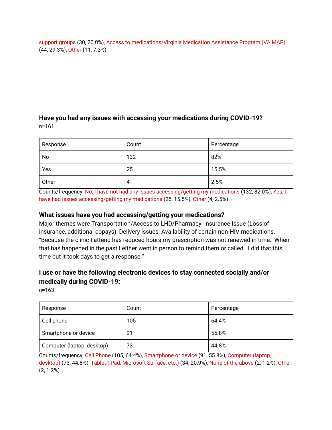support groups (30, 20.0%), Access to medications/Virginia Medication Assistance Program (VA MAP) (44, 29.3%), Other (11, 7.3%)

### **Have you had any issues with accessing your medications during COVID-19?** n=161

| Response | Count | Percentage |
|----------|-------|------------|
| No       | 132   | 82%        |
| Yes      | 25    | 15.5%      |
| Other    | 4     | 2.5%       |

Counts/frequency: No, I have not had any issues accessing/getting my medications (132, 82.0%), Yes, I have had issues accessing/getting my medications (25, 15.5%), Other (4, 2.5%)

### **What issues have you had accessing/getting your medications?**

Major themes were Transportation/Access to LHD/Pharmacy; Insurance Issue (Loss of insurance, additional copays); Delivery issues; Availability of certain non-HIV medications. "Because the clinic I attend has reduced hours my prescription was not renewed in time. When that has happened in the past I either went in person to remind them or called. I did that this time but it took days to get a response."

## **I use or have the following electronic devices to stay connected socially and/or medically during COVID-19:**

n=163

| Response                   | Count | Percentage |
|----------------------------|-------|------------|
| Cell phone                 | 105   | 64.4%      |
| Smartphone or device       | 91    | 55.8%      |
| Computer (laptop, desktop) | 73    | 44.8%      |

Counts/frequency: Cell Phone (105, 64.4%), Smartphone or device (91, 55.8%), Computer (laptop, desktop) (73, 44.8%), Tablet (iPad, Microsoft Surface, etc.) (34, 20.9%), None of the above (2, 1.2%), Other (2, 1.2%)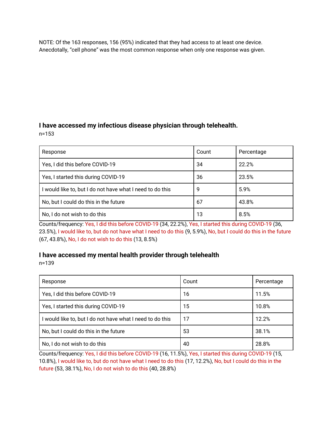NOTE: Of the 163 responses, 156 (95%) indicated that they had access to at least one device. Anecdotally, "cell phone" was the most common response when only one response was given.

# **I have accessed my infectious disease physician through telehealth.**

n=153

| Response                                                  | Count | Percentage |
|-----------------------------------------------------------|-------|------------|
| Yes, I did this before COVID-19                           | 34    | 22.2%      |
| Yes, I started this during COVID-19                       | 36    | 23.5%      |
| I would like to, but I do not have what I need to do this | 9     | 5.9%       |
| No, but I could do this in the future                     | 67    | 43.8%      |
| No, I do not wish to do this                              | 13    | 8.5%       |

Counts/frequency: Yes, I did this before COVID-19 (34, 22.2%), Yes, I started this during COVID-19 (36, 23.5%), I would like to, but do not have what I need to do this (9, 5.9%), No, but I could do this in the future (67, 43.8%), No, I do not wish to do this (13, 8.5%)

## **I have accessed my mental health provider through telehealth**

n=139

| Response                                                  | Count | Percentage |
|-----------------------------------------------------------|-------|------------|
| Yes, I did this before COVID-19                           | 16    | 11.5%      |
| Yes, I started this during COVID-19                       | 15    | 10.8%      |
| I would like to, but I do not have what I need to do this | 17    | 12.2%      |
| No, but I could do this in the future                     | 53    | 38.1%      |
| No, I do not wish to do this                              | 40    | 28.8%      |

Counts/frequency: Yes, I did this before COVID-19 (16, 11.5%), Yes, I started this during COVID-19 (15, 10.8%), I would like to, but do not have what I need to do this (17, 12.2%), No, but I could do this in the future (53, 38.1%), No, I do not wish to do this (40, 28.8%)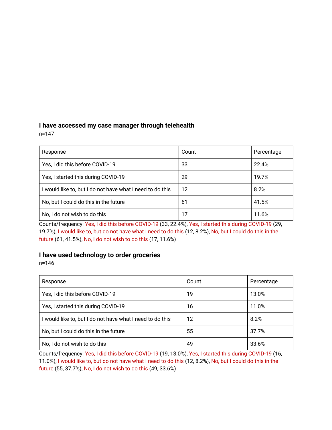# **I have accessed my case manager through telehealth**

n=147

| Response                                                  | Count | Percentage |
|-----------------------------------------------------------|-------|------------|
| Yes, I did this before COVID-19                           | 33    | 22.4%      |
| Yes, I started this during COVID-19                       | 29    | 19.7%      |
| I would like to, but I do not have what I need to do this | 12    | 8.2%       |
| No, but I could do this in the future                     | 61    | 41.5%      |
| No, I do not wish to do this                              | 17    | 11.6%      |

Counts/frequency: Yes, I did this before COVID-19 (33, 22.4%), Yes, I started this during COVID-19 (29, 19.7%), I would like to, but do not have what I need to do this (12, 8.2%), No, but I could do this in the future (61, 41.5%), No, I do not wish to do this (17, 11.6%)

### **I have used technology to order groceries**

n=146

| Response                                                  | Count | Percentage |
|-----------------------------------------------------------|-------|------------|
| Yes, I did this before COVID-19                           | 19    | 13.0%      |
| Yes, I started this during COVID-19                       | 16    | 11.0%      |
| I would like to, but I do not have what I need to do this | 12    | 8.2%       |
| No, but I could do this in the future                     | 55    | 37.7%      |
| No, I do not wish to do this                              | 49    | 33.6%      |

Counts/frequency: Yes, I did this before COVID-19 (19, 13.0%), Yes, I started this during COVID-19 (16, 11.0%), I would like to, but do not have what I need to do this (12, 8.2%), No, but I could do this in the future (55, 37.7%), No, I do not wish to do this (49, 33.6%)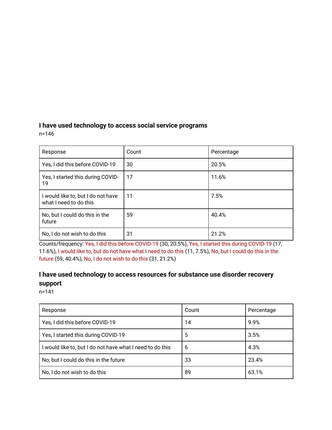# **I have used technology to access social service programs**

n=146

| Response                                                     | Count | Percentage |
|--------------------------------------------------------------|-------|------------|
| Yes, I did this before COVID-19                              | 30    | 20.5%      |
| Yes, I started this during COVID-<br>19                      | 17    | 11.6%      |
| I would like to, but I do not have<br>what I need to do this | 11    | 7.5%       |
| No, but I could do this in the<br>future                     | 59    | 40.4%      |
| No, I do not wish to do this                                 | 31    | 21.2%      |

Counts/frequency: Yes, I did this before COVID-19 (30, 20.5%), Yes, I started this during COVID-19 (17, 11.6%), I would like to, but do not have what I need to do this (11, 7.5%), No, but I could do this in the future (59, 40.4%), No, I do not wish to do this (31, 21.2%)

# **I have used technology to access resources for substance use disorder recovery support**

n=141

| Response                                                  | Count | Percentage |
|-----------------------------------------------------------|-------|------------|
| Yes, I did this before COVID-19                           | 14    | 9.9%       |
| Yes, I started this during COVID-19                       | 5     | 3.5%       |
| I would like to, but I do not have what I need to do this | 6     | 4.3%       |
| No, but I could do this in the future                     | 33    | 23.4%      |
| No, I do not wish to do this                              | 89    | 63.1%      |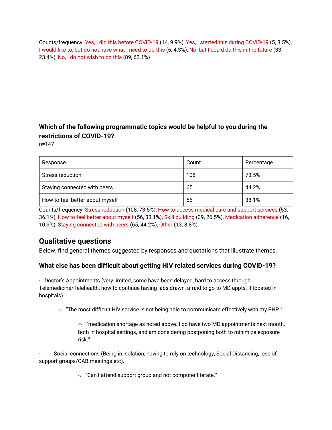Counts/frequency: Yes, I did this before COVID-19 (14, 9.9%), Yes, I started this during COVID-19 (5, 3.5%), I would like to, but do not have what I need to do this (6, 4.3%), No, but I could do this in the future (33, 23.4%), No, I do not wish to do this (89, 63.1%)

# **Which of the following programmatic topics would be helpful to you during the restrictions of COVID-19?**

n=147

| Response                        | Count | Percentage |
|---------------------------------|-------|------------|
| Stress reduction                | 108   | 73.5%      |
| Staying connected with peers    | 65    | 44.2%      |
| How to feel better about myself | 56    | 38.1%      |

Counts/frequency: Stress reduction (108, 73.5%), How to access medical care and support services (53, 36.1%), How to feel better about myself (56, 38.1%), Skill building (39, 26.5%), Medication adherence (16, 10.9%), Staying connected with peers (65, 44.2%), Other (13, 8.8%)

# **Qualitative questions**

Below, find general themes suggested by responses and quotations that illustrate themes.

### **What else has been difficult about getting HIV related services during COVID-19?**

- Doctor's Appointments (very limited, some have been delayed, hard to access through Telemedicine/Telehealth, how to continue having labs drawn, afraid to go to MD appts. If located in hospitals)

 $\circ$  "The most difficult HIV service is not being able to communicate effectively with my PHP."

 $\circ$  "medication shortage as noted above. I do have two MD appointments next month, both in hospital settings, and am considering postponing both to minimize exposure risk."

- Social connections (Being in isolation, having to rely on technology, Social Distancing, loss of support groups/CAB meetings etc).

o "Can't attend support group and not computer literate."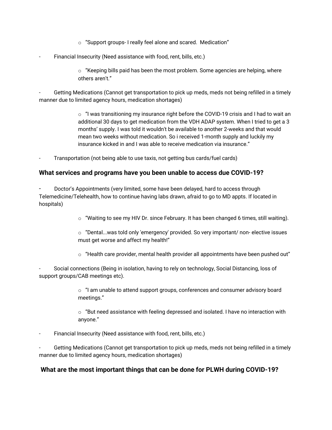- $\circ$  "Support groups- I really feel alone and scared. Medication"
- Financial Insecurity (Need assistance with food, rent, bills, etc.)
	- $\circ$  "Keeping bills paid has been the most problem. Some agencies are helping, where others aren't."

Getting Medications (Cannot get transportation to pick up meds, meds not being refilled in a timely manner due to limited agency hours, medication shortages)

> $\circ$  "I was transitioning my insurance right before the COVID-19 crisis and I had to wait an additional 30 days to get medication from the VDH ADAP system. When I tried to get a 3 months' supply. I was told it wouldn't be available to another 2-weeks and that would mean two weeks without medication. So i received 1-month supply and luckily my insurance kicked in and I was able to receive medication via insurance."

Transportation (not being able to use taxis, not getting bus cards/fuel cards)

#### **What services and programs have you been unable to access due COVID-19?**

Doctor's Appointments (very limited, some have been delayed, hard to access through Telemedicine/Telehealth, how to continue having labs drawn, afraid to go to MD appts. If located in hospitals)

- $\circ$  "Waiting to see my HIV Dr. since February. It has been changed 6 times, still waiting).
- o "Dental...was told only 'emergency' provided. So very important/ non- elective issues must get worse and affect my health!"
- $\circ$  "Health care provider, mental health provider all appointments have been pushed out"

Social connections (Being in isolation, having to rely on technology, Social Distancing, loss of support groups/CAB meetings etc).

> $\circ$  "I am unable to attend support groups, conferences and consumer advisory board meetings."

 $\circ$  "But need assistance with feeling depressed and isolated. I have no interaction with anyone."

Financial Insecurity (Need assistance with food, rent, bills, etc.)

Getting Medications (Cannot get transportation to pick up meds, meds not being refilled in a timely manner due to limited agency hours, medication shortages)

### **What are the most important things that can be done for PLWH during COVID-19?**